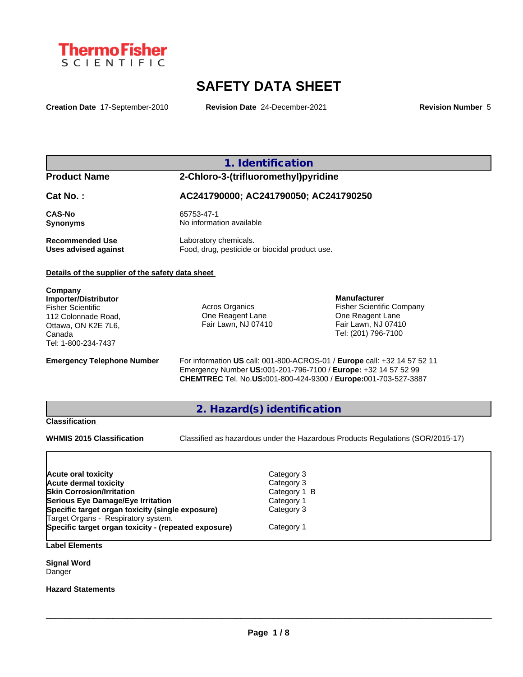

# **SAFETY DATA SHEET**

**Creation Date** 17-September-2010 **Revision Date** 24-December-2021 **Revision Number** 5

## **1. Identification**

**Product Name 2-Chloro-3-(trifluoromethyl)pyridine**

**Cat No. : AC241790000; AC241790050; AC241790250**

**Recommended Use** Laboratory chemicals.<br> **Uses advised against** Food, drug, pesticide of

**CAS-No** 65753-47-1 **Synonyms** No information available

Food, drug, pesticide or biocidal product use.

#### **Details of the supplier of the safety data sheet**

**Company Importer/Distributor** Fisher Scientific 112 Colonnade Road, Ottawa, ON K2E 7L6, Canada Tel: 1-800-234-7437

Acros Organics One Reagent Lane Fair Lawn, NJ 07410

**Manufacturer** Fisher Scientific Company One Reagent Lane Fair Lawn, NJ 07410 Tel: (201) 796-7100

**Emergency Telephone Number** For information **US** call: 001-800-ACROS-01 / **Europe** call: +32 14 57 52 11 Emergency Number **US:**001-201-796-7100 / **Europe:** +32 14 57 52 99 **CHEMTREC** Tel. No.**US:**001-800-424-9300 / **Europe:**001-703-527-3887

## **2. Hazard(s) identification**

#### **Classification**

**WHMIS 2015 Classification** Classified as hazardous under the Hazardous Products Regulations (SOR/2015-17)

 $\_$  ,  $\_$  ,  $\_$  ,  $\_$  ,  $\_$  ,  $\_$  ,  $\_$  ,  $\_$  ,  $\_$  ,  $\_$  ,  $\_$  ,  $\_$  ,  $\_$  ,  $\_$  ,  $\_$  ,  $\_$  ,  $\_$  ,  $\_$  ,  $\_$  ,  $\_$  ,  $\_$  ,  $\_$  ,  $\_$  ,  $\_$  ,  $\_$  ,  $\_$  ,  $\_$  ,  $\_$  ,  $\_$  ,  $\_$  ,  $\_$  ,  $\_$  ,  $\_$  ,  $\_$  ,  $\_$  ,  $\_$  ,  $\_$  ,

| <b>Acute oral toxicity</b>                           | Category 3   |
|------------------------------------------------------|--------------|
| Acute dermal toxicity                                | Category 3   |
| <b>Skin Corrosion/Irritation</b>                     | Category 1 B |
| Serious Eye Damage/Eye Irritation                    | Category 1   |
| Specific target organ toxicity (single exposure)     | Category 3   |
| Target Organs - Respiratory system.                  |              |
| Specific target organ toxicity - (repeated exposure) | Category 1   |
|                                                      |              |

**Label Elements**

**Signal Word** Danger

**Hazard Statements**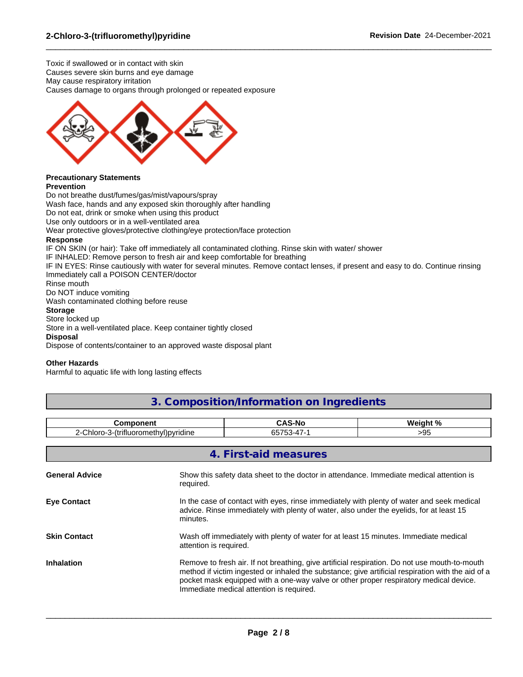Toxic if swallowed or in contact with skin Causes severe skin burns and eye damage May cause respiratory irritation Causes damage to organs through prolonged or repeated exposure



#### **Precautionary Statements Prevention**

Do not breathe dust/fumes/gas/mist/vapours/spray Wash face, hands and any exposed skin thoroughly after handling Do not eat, drink or smoke when using this product Use only outdoors or in a well-ventilated area Wear protective gloves/protective clothing/eye protection/face protection **Response**

IF ON SKIN (or hair): Take off immediately all contaminated clothing. Rinse skin with water/ shower

IF INHALED: Remove person to fresh air and keep comfortable for breathing

IF IN EYES: Rinse cautiously with water for several minutes. Remove contact lenses, if present and easy to do. Continue rinsing Immediately call a POISON CENTER/doctor

 $\_$  ,  $\_$  ,  $\_$  ,  $\_$  ,  $\_$  ,  $\_$  ,  $\_$  ,  $\_$  ,  $\_$  ,  $\_$  ,  $\_$  ,  $\_$  ,  $\_$  ,  $\_$  ,  $\_$  ,  $\_$  ,  $\_$  ,  $\_$  ,  $\_$  ,  $\_$  ,  $\_$  ,  $\_$  ,  $\_$  ,  $\_$  ,  $\_$  ,  $\_$  ,  $\_$  ,  $\_$  ,  $\_$  ,  $\_$  ,  $\_$  ,  $\_$  ,  $\_$  ,  $\_$  ,  $\_$  ,  $\_$  ,  $\_$  ,

Rinse mouth Do NOT induce vomiting

Wash contaminated clothing before reuse

### **Storage**

#### Store locked up

Store in a well-ventilated place. Keep container tightly closed

**Disposal**

Dispose of contents/container to an approved waste disposal plant

### **Other Hazards**

Harmful to aquatic life with long lasting effects

## **3. Composition/Information on Ingredients**

| ∶omponent<br>. .                                                   | . .<br>5-No<br>. . | いいっこんしゅ ロノ |
|--------------------------------------------------------------------|--------------------|------------|
| $\cdot$<br>$\sim$<br>3-(trifluoromethyl)pyridine<br>าloro<br>'' اب | ົ<br>◡             | -53        |

| 4. First-aid measures |                                                                                                                                                                                                                                                                                                                                         |  |
|-----------------------|-----------------------------------------------------------------------------------------------------------------------------------------------------------------------------------------------------------------------------------------------------------------------------------------------------------------------------------------|--|
| <b>General Advice</b> | Show this safety data sheet to the doctor in attendance. Immediate medical attention is<br>required.                                                                                                                                                                                                                                    |  |
| <b>Eye Contact</b>    | In the case of contact with eyes, rinse immediately with plenty of water and seek medical<br>advice. Rinse immediately with plenty of water, also under the eyelids, for at least 15<br>minutes.                                                                                                                                        |  |
| <b>Skin Contact</b>   | Wash off immediately with plenty of water for at least 15 minutes. Immediate medical<br>attention is required.                                                                                                                                                                                                                          |  |
| <b>Inhalation</b>     | Remove to fresh air. If not breathing, give artificial respiration. Do not use mouth-to-mouth<br>method if victim ingested or inhaled the substance; give artificial respiration with the aid of a<br>pocket mask equipped with a one-way valve or other proper respiratory medical device.<br>Immediate medical attention is required. |  |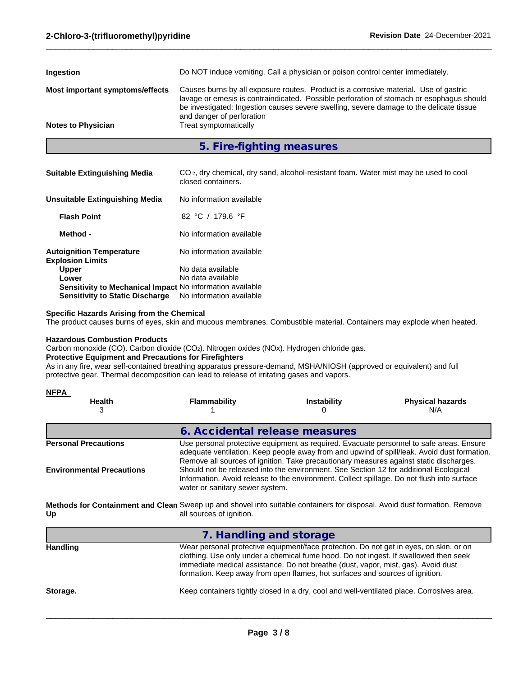| <b>Notes to Physician</b>       | be investigated: Ingestion causes severe swelling, severe damage to the delicate tissue<br>and danger of perforation<br>Treat symptomatically                                    |
|---------------------------------|----------------------------------------------------------------------------------------------------------------------------------------------------------------------------------|
| Most important symptoms/effects | Causes burns by all exposure routes. Product is a corrosive material. Use of gastric<br>lavage or emesis is contraindicated. Possible perforation of stomach or esophagus should |
| Ingestion                       | Do NOT induce vomiting. Call a physician or poison control center immediately.                                                                                                   |

**5. Fire-fighting measures**

| <b>Suitable Extinguishing Media</b>                        | CO <sub>2</sub> , dry chemical, dry sand, alcohol-resistant foam. Water mist may be used to cool<br>closed containers. |
|------------------------------------------------------------|------------------------------------------------------------------------------------------------------------------------|
| <b>Unsuitable Extinguishing Media</b>                      | No information available                                                                                               |
| <b>Flash Point</b>                                         | 82 °C / 179.6 °F                                                                                                       |
| Method -                                                   | No information available                                                                                               |
| <b>Autoignition Temperature</b><br><b>Explosion Limits</b> | No information available                                                                                               |
| <b>Upper</b>                                               | No data available                                                                                                      |
| Lower                                                      | No data available                                                                                                      |
| Sensitivity to Mechanical Impact No information available  |                                                                                                                        |
| <b>Sensitivity to Static Discharge</b>                     | No information available                                                                                               |

#### **Specific Hazards Arising from the Chemical**

The product causes burns of eyes, skin and mucous membranes. Combustible material. Containers may explode when heated.

#### **Hazardous Combustion Products**

Carbon monoxide (CO). Carbon dioxide (CO2). Nitrogen oxides (NOx). Hydrogen chloride gas.

#### **Protective Equipment and Precautions for Firefighters**

As in any fire, wear self-contained breathing apparatus pressure-demand, MSHA/NIOSH (approved or equivalent) and full protective gear. Thermal decomposition can lead to release of irritating gases and vapors.

| <b>NFPA</b>                                                                                                                     |                                                                                                                                                                                                                                                                                                                                                                                                                                                                                                            |                                                                                                                                                                                                                                                                                                                                                     |                                                                                           |  |  |
|---------------------------------------------------------------------------------------------------------------------------------|------------------------------------------------------------------------------------------------------------------------------------------------------------------------------------------------------------------------------------------------------------------------------------------------------------------------------------------------------------------------------------------------------------------------------------------------------------------------------------------------------------|-----------------------------------------------------------------------------------------------------------------------------------------------------------------------------------------------------------------------------------------------------------------------------------------------------------------------------------------------------|-------------------------------------------------------------------------------------------|--|--|
| <b>Health</b><br>3                                                                                                              | <b>Flammability</b>                                                                                                                                                                                                                                                                                                                                                                                                                                                                                        | <b>Instability</b><br>O                                                                                                                                                                                                                                                                                                                             | <b>Physical hazards</b><br>N/A                                                            |  |  |
|                                                                                                                                 | 6. Accidental release measures                                                                                                                                                                                                                                                                                                                                                                                                                                                                             |                                                                                                                                                                                                                                                                                                                                                     |                                                                                           |  |  |
| <b>Personal Precautions</b><br><b>Environmental Precautions</b>                                                                 | Use personal protective equipment as required. Evacuate personnel to safe areas. Ensure<br>adequate ventilation. Keep people away from and upwind of spill/leak. Avoid dust formation.<br>Remove all sources of ignition. Take precautionary measures against static discharges.<br>Should not be released into the environment. See Section 12 for additional Ecological<br>Information. Avoid release to the environment. Collect spillage. Do not flush into surface<br>water or sanitary sewer system. |                                                                                                                                                                                                                                                                                                                                                     |                                                                                           |  |  |
| Methods for Containment and Clean Sweep up and shovel into suitable containers for disposal. Avoid dust formation. Remove<br>Up | all sources of ignition.                                                                                                                                                                                                                                                                                                                                                                                                                                                                                   |                                                                                                                                                                                                                                                                                                                                                     |                                                                                           |  |  |
|                                                                                                                                 | 7. Handling and storage                                                                                                                                                                                                                                                                                                                                                                                                                                                                                    |                                                                                                                                                                                                                                                                                                                                                     |                                                                                           |  |  |
| <b>Handling</b>                                                                                                                 |                                                                                                                                                                                                                                                                                                                                                                                                                                                                                                            | Wear personal protective equipment/face protection. Do not get in eyes, on skin, or on<br>clothing. Use only under a chemical fume hood. Do not ingest. If swallowed then seek<br>immediate medical assistance. Do not breathe (dust, vapor, mist, gas). Avoid dust<br>formation. Keep away from open flames, hot surfaces and sources of ignition. |                                                                                           |  |  |
| Storage.                                                                                                                        |                                                                                                                                                                                                                                                                                                                                                                                                                                                                                                            |                                                                                                                                                                                                                                                                                                                                                     | Keep containers tightly closed in a dry, cool and well-ventilated place. Corrosives area. |  |  |

**Page 3 / 8**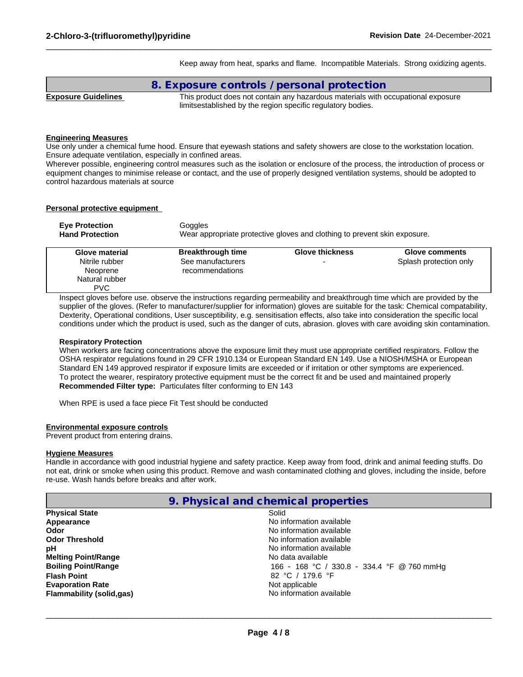Keep away from heat, sparks and flame. Incompatible Materials. Strong oxidizing agents.

 $\_$  ,  $\_$  ,  $\_$  ,  $\_$  ,  $\_$  ,  $\_$  ,  $\_$  ,  $\_$  ,  $\_$  ,  $\_$  ,  $\_$  ,  $\_$  ,  $\_$  ,  $\_$  ,  $\_$  ,  $\_$  ,  $\_$  ,  $\_$  ,  $\_$  ,  $\_$  ,  $\_$  ,  $\_$  ,  $\_$  ,  $\_$  ,  $\_$  ,  $\_$  ,  $\_$  ,  $\_$  ,  $\_$  ,  $\_$  ,  $\_$  ,  $\_$  ,  $\_$  ,  $\_$  ,  $\_$  ,  $\_$  ,  $\_$  ,

|                            | 8. Exposure controls / personal protection                                       |
|----------------------------|----------------------------------------------------------------------------------|
| <b>Exposure Guidelines</b> | This product does not contain any hazardous materials with occupational exposure |
|                            | limitsestablished by the region specific regulatory bodies.                      |

#### **Engineering Measures**

Use only under a chemical fume hood. Ensure that eyewash stations and safety showers are close to the workstation location. Ensure adequate ventilation, especially in confined areas.

Wherever possible, engineering control measures such as the isolation or enclosure of the process, the introduction of process or equipment changes to minimise release or contact, and the use of properly designed ventilation systems, should be adopted to control hazardous materials at source

#### **Personal protective equipment**

| <b>Eye Protection</b>                                                        | Goggles                                                                   |                        |                                          |  |  |
|------------------------------------------------------------------------------|---------------------------------------------------------------------------|------------------------|------------------------------------------|--|--|
| <b>Hand Protection</b>                                                       | Wear appropriate protective gloves and clothing to prevent skin exposure. |                        |                                          |  |  |
| Glove material<br>Nitrile rubber<br>Neoprene<br>Natural rubber<br><b>PVC</b> | <b>Breakthrough time</b><br>See manufacturers<br>recommendations          | <b>Glove thickness</b> | Glove comments<br>Splash protection only |  |  |

Inspect gloves before use. observe the instructions regarding permeability and breakthrough time which are provided by the supplier of the gloves. (Refer to manufacturer/supplier for information) gloves are suitable for the task: Chemical compatability, Dexterity, Operational conditions, User susceptibility, e.g. sensitisation effects, also take into consideration the specific local conditions under which the product is used, such as the danger of cuts, abrasion. gloves with care avoiding skin contamination.

#### **Respiratory Protection**

When workers are facing concentrations above the exposure limit they must use appropriate certified respirators. Follow the OSHA respirator regulations found in 29 CFR 1910.134 or European Standard EN 149. Use a NIOSH/MSHA or European Standard EN 149 approved respirator if exposure limits are exceeded or if irritation or other symptoms are experienced. To protect the wearer, respiratory protective equipment must be the correct fit and be used and maintained properly **Recommended Filter type:** Particulates filter conforming to EN 143

When RPE is used a face piece Fit Test should be conducted

#### **Environmental exposure controls**

Prevent product from entering drains.

#### **Hygiene Measures**

Handle in accordance with good industrial hygiene and safety practice. Keep away from food, drink and animal feeding stuffs. Do not eat, drink or smoke when using this product. Remove and wash contaminated clothing and gloves, including the inside, before re-use. Wash hands before breaks and after work.

|                                 | 9. Physical and chemical properties        |
|---------------------------------|--------------------------------------------|
| <b>Physical State</b>           | Solid                                      |
| Appearance                      | No information available                   |
| Odor                            | No information available                   |
| <b>Odor Threshold</b>           | No information available                   |
| рH                              | No information available                   |
| <b>Melting Point/Range</b>      | No data available                          |
| <b>Boiling Point/Range</b>      | 166 - 168 °C / 330.8 - 334.4 °F @ 760 mmHg |
| <b>Flash Point</b>              | 82 °C / 179.6 °F                           |
| <b>Evaporation Rate</b>         | Not applicable                             |
| <b>Flammability (solid,gas)</b> | No information available                   |
|                                 |                                            |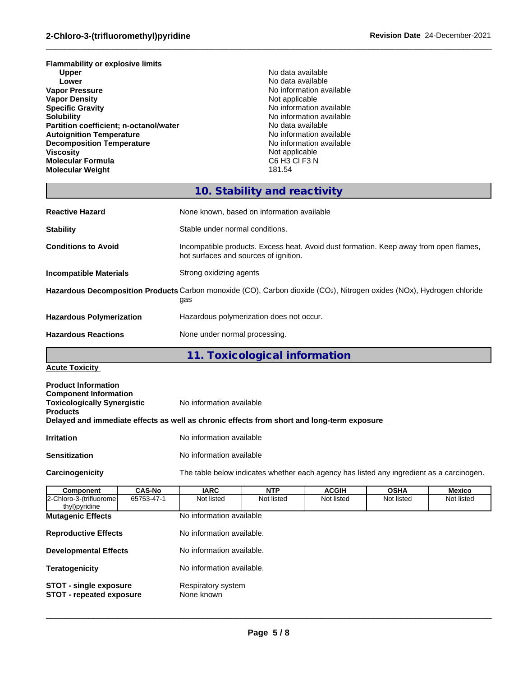**Flammability or explosive limits Upper** No data available **Lower Lower Lower CONSISTENT ACCORDING TO A LOWER AND INCOMENT AND INCOMENT ACCORDING TO A LOCAL CONSISTENCE AND INCOMENT ACCORDING TO A LOCAL CONSISTENCE AND INCOMENT AND INCOMENT ACCORDING TO A LOCAL CONSISTENCE A Vapor Density<br>Specific Gravity Solubility**<br> **Partition coefficient; n-octanol/water**<br> **Partition coefficient; n-octanol/water**<br> **No data available Partition coefficient; n-octanol/water** No data available<br> **Autoignition Temperature Autoignition available Autoignition Temperature**<br> **Decomposition Temperature No information available**<br>
No information available **Decomposition Temperature**<br>Viscosity **Molecular Formula** C6 H3 C6 H3 C6 H3 C6 H3 C6 H3 C6 H3 C6 H3 C6 H3 C6 H3 C6 H3 C6 H3 C6 H3 C6 H3 C2 **Molecular Weight** 

**No information available**<br>Not applicable **Specific Gravity** No information available Not applicable<br>C6 H3 Cl F3 N

 $\_$  ,  $\_$  ,  $\_$  ,  $\_$  ,  $\_$  ,  $\_$  ,  $\_$  ,  $\_$  ,  $\_$  ,  $\_$  ,  $\_$  ,  $\_$  ,  $\_$  ,  $\_$  ,  $\_$  ,  $\_$  ,  $\_$  ,  $\_$  ,  $\_$  ,  $\_$  ,  $\_$  ,  $\_$  ,  $\_$  ,  $\_$  ,  $\_$  ,  $\_$  ,  $\_$  ,  $\_$  ,  $\_$  ,  $\_$  ,  $\_$  ,  $\_$  ,  $\_$  ,  $\_$  ,  $\_$  ,  $\_$  ,  $\_$  ,

## **10. Stability and reactivity**

| None known, based on information available                                                                                                |
|-------------------------------------------------------------------------------------------------------------------------------------------|
| Stable under normal conditions.                                                                                                           |
| Incompatible products. Excess heat. Avoid dust formation. Keep away from open flames,<br>hot surfaces and sources of ignition.            |
| Strong oxidizing agents                                                                                                                   |
| Hazardous Decomposition Products Carbon monoxide (CO), Carbon dioxide (CO <sub>2</sub> ), Nitrogen oxides (NOx), Hydrogen chloride<br>gas |
| Hazardous polymerization does not occur.                                                                                                  |
| None under normal processing.                                                                                                             |
|                                                                                                                                           |

**11. Toxicological information**

**Acute Toxicity**

| <b>Product Information</b><br><b>Component Information</b><br><b>Toxicologically Synergistic</b> | No information available                                                                   |
|--------------------------------------------------------------------------------------------------|--------------------------------------------------------------------------------------------|
| <b>Products</b>                                                                                  | Delayed and immediate effects as well as chronic effects from short and long-term exposure |
| <b>Irritation</b>                                                                                | No information available                                                                   |
| <b>Sensitization</b>                                                                             | No information available                                                                   |

**Carcinogenicity** The table below indicateswhether each agency has listed any ingredient as a carcinogen.

| Component                                | <b>CAS-No</b>                                                                                        | <b>IARC</b>               | <b>NTP</b> | <b>ACGIH</b> | <b>OSHA</b> | <b>Mexico</b> |
|------------------------------------------|------------------------------------------------------------------------------------------------------|---------------------------|------------|--------------|-------------|---------------|
| 2-Chloro-3-(trifluorome<br>thyl)pyridine | 65753-47-1                                                                                           | Not listed                | Not listed | Not listed   | Not listed  | Not listed    |
| <b>Mutagenic Effects</b>                 |                                                                                                      | No information available  |            |              |             |               |
| <b>Reproductive Effects</b>              |                                                                                                      | No information available. |            |              |             |               |
| <b>Developmental Effects</b>             |                                                                                                      | No information available. |            |              |             |               |
| <b>Teratogenicity</b>                    |                                                                                                      | No information available. |            |              |             |               |
|                                          | Respiratory system<br><b>STOT - single exposure</b><br>None known<br><b>STOT - repeated exposure</b> |                           |            |              |             |               |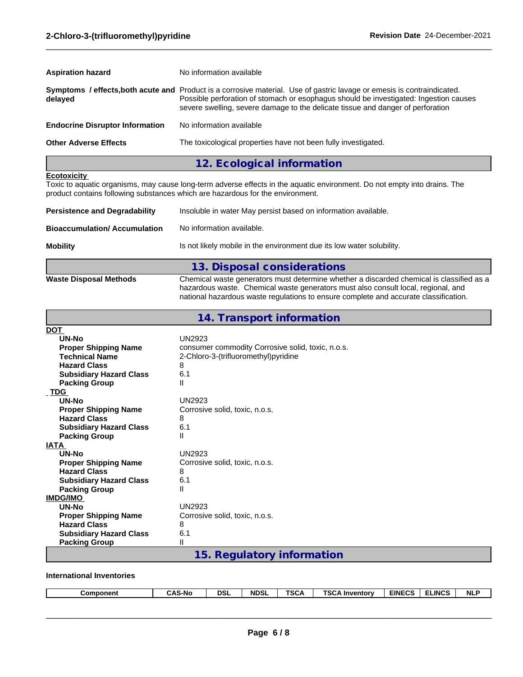| <b>Aspiration hazard</b>               | No information available                                                                                                                                                                                                                                                                            |  |
|----------------------------------------|-----------------------------------------------------------------------------------------------------------------------------------------------------------------------------------------------------------------------------------------------------------------------------------------------------|--|
| delayed                                | Symptoms / effects, both acute and Product is a corrosive material. Use of gastric lavage or emesis is contraindicated.<br>Possible perforation of stomach or esophagus should be investigated: Ingestion causes<br>severe swelling, severe damage to the delicate tissue and danger of perforation |  |
| <b>Endocrine Disruptor Information</b> | No information available                                                                                                                                                                                                                                                                            |  |
| <b>Other Adverse Effects</b>           | The toxicological properties have not been fully investigated.                                                                                                                                                                                                                                      |  |
|                                        | 12. Ecological information                                                                                                                                                                                                                                                                          |  |

#### **Ecotoxicity**

Toxic to aquatic organisms, may cause long-term adverse effects in the aquatic environment. Do not empty into drains. The product contains following substances which are hazardous for the environment.

| <b>Persistence and Degradability</b> | Insoluble in water May persist based on information available.                                                                                                                |
|--------------------------------------|-------------------------------------------------------------------------------------------------------------------------------------------------------------------------------|
| <b>Bioaccumulation/ Accumulation</b> | No information available.                                                                                                                                                     |
| <b>Mobility</b>                      | Is not likely mobile in the environment due its low water solubility.                                                                                                         |
|                                      | 13. Disposal considerations                                                                                                                                                   |
| <b>Waste Disposal Methods</b>        | Chemical waste generators must determine whether a discarded chemical is classified as a<br>hazardous waste. Chemical waste generators must also consult local, regional, and |

|                                | national hazardous waste regulations to ensure complete and accurate classification. |
|--------------------------------|--------------------------------------------------------------------------------------|
|                                | 14. Transport information                                                            |
| DOT                            |                                                                                      |
| UN-No                          | <b>UN2923</b>                                                                        |
| <b>Proper Shipping Name</b>    | consumer commodity Corrosive solid, toxic, n.o.s.                                    |
| <b>Technical Name</b>          | 2-Chloro-3-(trifluoromethyl)pyridine                                                 |
| <b>Hazard Class</b>            | 8                                                                                    |
| <b>Subsidiary Hazard Class</b> | 6.1                                                                                  |
| <b>Packing Group</b>           | Ш                                                                                    |
| TDG                            |                                                                                      |
| UN-No                          | <b>UN2923</b>                                                                        |
| <b>Proper Shipping Name</b>    | Corrosive solid, toxic, n.o.s.                                                       |
| <b>Hazard Class</b>            | 8                                                                                    |
| <b>Subsidiary Hazard Class</b> | 6.1                                                                                  |
| <b>Packing Group</b>           | Ш                                                                                    |
| IATA                           |                                                                                      |
| <b>UN-No</b>                   | <b>UN2923</b>                                                                        |
| <b>Proper Shipping Name</b>    | Corrosive solid, toxic, n.o.s.                                                       |
| <b>Hazard Class</b>            | 8                                                                                    |
| <b>Subsidiary Hazard Class</b> | 6.1                                                                                  |
| <b>Packing Group</b>           | Ш                                                                                    |
| <b>IMDG/IMO</b>                |                                                                                      |
| UN-No                          | <b>UN2923</b>                                                                        |
| <b>Proper Shipping Name</b>    | Corrosive solid, toxic, n.o.s.                                                       |
| <b>Hazard Class</b>            | 8                                                                                    |
| <b>Subsidiary Hazard Class</b> | 6.1                                                                                  |
| <b>Packing Group</b>           | Ш                                                                                    |
|                                | 15. Regulatory information                                                           |

**International Inventories**

| Component | <b>DSL</b><br>$\sim$ $\sim$ $\sim$<br>שוויר<br>unj | <b>TSCA</b><br><b>NDSL</b> | <b>TSCA</b><br><b>EINECS</b><br>√ Inventorv | <b>ELINCS</b><br><b>NLF</b> |
|-----------|----------------------------------------------------|----------------------------|---------------------------------------------|-----------------------------|
|-----------|----------------------------------------------------|----------------------------|---------------------------------------------|-----------------------------|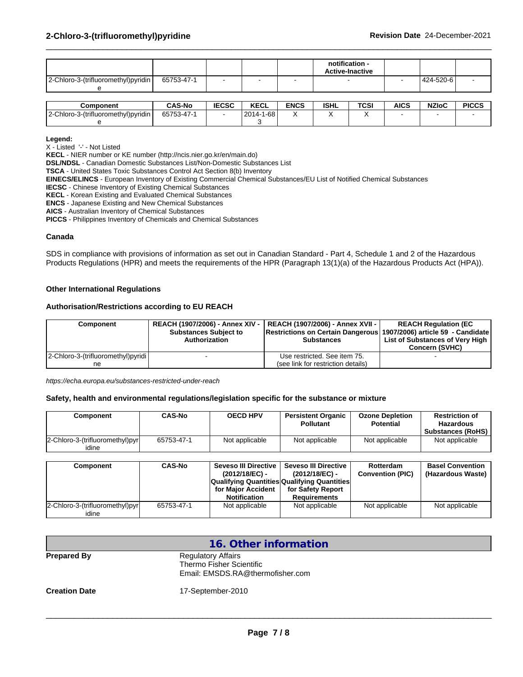|                                      |            |   | notification -<br><b>Active-Inactive</b> |           |  |
|--------------------------------------|------------|---|------------------------------------------|-----------|--|
| 2-Chloro-3-(trifluoromethyl) pyridin | 65753-47-1 | - |                                          | 424-520-6 |  |

| Component                               | <b>CAS-No</b> | <b>IECCC</b><br>IECSC | $I - I$<br><b>KECL</b>               | <b>ENCS</b> | <b>ISHL</b> | <b>TCSI</b> | <b>AICS</b> | <b>NZIoC</b> | <b>PICCS</b> |
|-----------------------------------------|---------------|-----------------------|--------------------------------------|-------------|-------------|-------------|-------------|--------------|--------------|
| -3-(trifluoromethyl)pyridin<br>2-Chloro | 65753-47-     |                       | 1-68<br>0011<br><u>. д. - </u><br>∠∪ |             |             |             |             |              |              |
|                                         |               |                       |                                      |             |             |             |             |              |              |

**Legend:**

X - Listed '-' - Not Listed

**KECL** - NIER number or KE number (http://ncis.nier.go.kr/en/main.do)

**DSL/NDSL** - Canadian Domestic Substances List/Non-Domestic Substances List

**TSCA** - United States Toxic Substances Control Act Section 8(b) Inventory

**EINECS/ELINCS** - European Inventory of Existing Commercial Chemical Substances/EU List of Notified Chemical Substances

**IECSC** - Chinese Inventory of Existing Chemical Substances

**KECL** - Korean Existing and Evaluated Chemical Substances

**ENCS** - Japanese Existing and New Chemical Substances

**AICS** - Australian Inventory of Chemical Substances

**PICCS** - Philippines Inventory of Chemicals and Chemical Substances

#### **Canada**

SDS in compliance with provisions of information as set out in Canadian Standard - Part 4, Schedule 1 and 2 of the Hazardous Products Regulations (HPR) and meets the requirements of the HPR (Paragraph 13(1)(a) of the Hazardous Products Act (HPA)).

#### **Other International Regulations**

#### **Authorisation/Restrictions according to EU REACH**

| Component                           |                              | REACH (1907/2006) - Annex XIV -   REACH (1907/2006) - Annex XVII -         | <b>REACH Regulation (EC)</b>    |
|-------------------------------------|------------------------------|----------------------------------------------------------------------------|---------------------------------|
|                                     | <b>Substances Subject to</b> | <b>Restrictions on Certain Dangerous 1907/2006) article 59 - Candidate</b> |                                 |
|                                     | Authorization                | <b>Substances</b>                                                          | List of Substances of Very High |
|                                     |                              |                                                                            | <b>Concern (SVHC)</b>           |
| 2-Chloro-3-(trifluoromethyl) pyridi |                              | Use restricted. See item 75.                                               |                                 |
| ne                                  |                              | (see link for restriction details)                                         |                                 |

*https://echa.europa.eu/substances-restricted-under-reach*

#### **Safety, health and environmental regulations/legislation specific for the substance or mixture**

| 2-Chloro-3-(trifluoromethyl)pyr<br>Not applicable<br>Not applicable<br>Not applicable<br>Not applicable<br>65753-47-1<br>idine | Component | <b>CAS-No</b> | <b>OECD HPV</b> | <b>Persistent Organic</b><br>Pollutant | <b>Ozone Depletion</b><br><b>Potential</b> | <b>Restriction of</b><br>Hazardous<br><b>Substances (RoHS)</b> |
|--------------------------------------------------------------------------------------------------------------------------------|-----------|---------------|-----------------|----------------------------------------|--------------------------------------------|----------------------------------------------------------------|
|                                                                                                                                |           |               |                 |                                        |                                            |                                                                |

| Component                       | <b>CAS-No</b> | Seveso III Directive                               | Seveso III Directive | Rotterdam               | <b>Basel Convention</b> |
|---------------------------------|---------------|----------------------------------------------------|----------------------|-------------------------|-------------------------|
|                                 |               | (2012/18/EC) -                                     | (2012/18/EC) -       | <b>Convention (PIC)</b> | (Hazardous Waste)       |
|                                 |               | <b>Qualifying Quantities Qualifying Quantities</b> |                      |                         |                         |
|                                 |               | for Maior Accident                                 | for Safety Report    |                         |                         |
|                                 |               | <b>Notification</b>                                | Requirements         |                         |                         |
| 2-Chloro-3-(trifluoromethyl)pyr | 65753-47-1    | Not applicable                                     | Not applicable       | Not applicable          | Not applicable          |
| idine                           |               |                                                    |                      |                         |                         |

|                      | 16. Other information                                                                     |
|----------------------|-------------------------------------------------------------------------------------------|
| <b>Prepared By</b>   | <b>Regulatory Affairs</b><br>Thermo Fisher Scientific<br>Email: EMSDS.RA@thermofisher.com |
| <b>Creation Date</b> | 17-September-2010                                                                         |